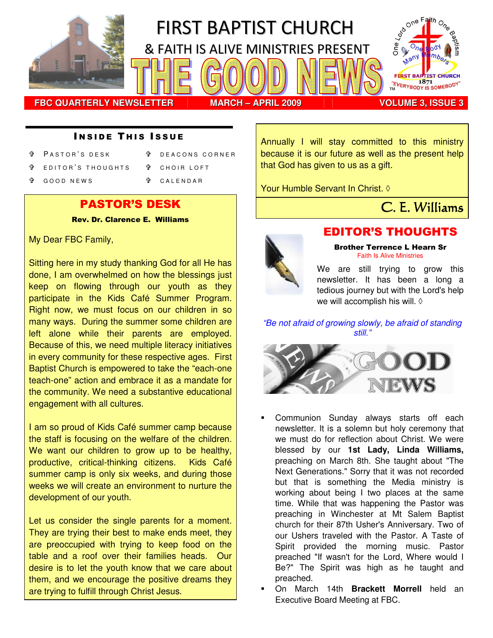

# FIRST BAPTIST CHURCH & FAITH IS ALIVE MINISTRIES PRESENT



**FBC QUARTERLY NEWSLETTER MARCH – APRIL 2009 VOLUME 3, ISSUE 3**

#### **INSIDE THIS ISSUE**

- PASTOR'S DESK
- D E A C O N S C O R N E R
- E D I T O R 'S T H O U G H T S
- **T** CHOIR LOFT
- G O O D N E W S
- C A L E N D A R

# PASTOR'S DESK

#### Rev. Dr. Clarence E. Williams

My Dear FBC Family,

Sitting here in my study thanking God for all He has done, I am overwhelmed on how the blessings just keep on flowing through our youth as they participate in the Kids Café Summer Program. Right now, we must focus on our children in so many ways. During the summer some children are left alone while their parents are employed. Because of this, we need multiple literacy initiatives in every community for these respective ages. First Baptist Church is empowered to take the "each-one teach-one" action and embrace it as a mandate for the community. We need a substantive educational engagement with all cultures.

I am so proud of Kids Café summer camp because the staff is focusing on the welfare of the children. We want our children to grow up to be healthy, productive, critical-thinking citizens. Kids Café summer camp is only six weeks, and during those weeks we will create an environment to nurture the development of our youth.

Let us consider the single parents for a moment. They are trying their best to make ends meet, they are preoccupied with trying to keep food on the table and a roof over their families heads. Our desire is to let the youth know that we care about them, and we encourage the positive dreams they are trying to fulfill through Christ Jesus.

Annually I will stay committed to this ministry because it is our future as well as the present help that God has given to us as a gift.

Your Humble Servant In Christ. ◊





# EDITOR'S THOUGHTS

Brother Terrence L Hearn Sr Faith Is Alive Ministries

We are still trying to grow this newsletter. It has been a long a tedious journey but with the Lord's help we will accomplish his will.  $\diamond$ 

#### "Be not afraid of growing slowly, be afraid of standing still."



- - Communion Sunday always starts off each newsletter. It is a solemn but holy ceremony that we must do for reflection about Christ. We were blessed by our **1st Lady, Linda Williams,** preaching on March 8th. She taught about "The Next Generations." Sorry that it was not recorded but that is something the Media ministry is working about being I two places at the same time. While that was happening the Pastor was preaching in Winchester at Mt Salem Baptist church for their 87th Usher's Anniversary. Two of our Ushers traveled with the Pastor. A Taste of Spirit provided the morning music. Pastor preached "If wasn't for the Lord, Where would I Be?" The Spirit was high as he taught and preached.
- - On March 14th **Brackett Morrell** held an Executive Board Meeting at FBC.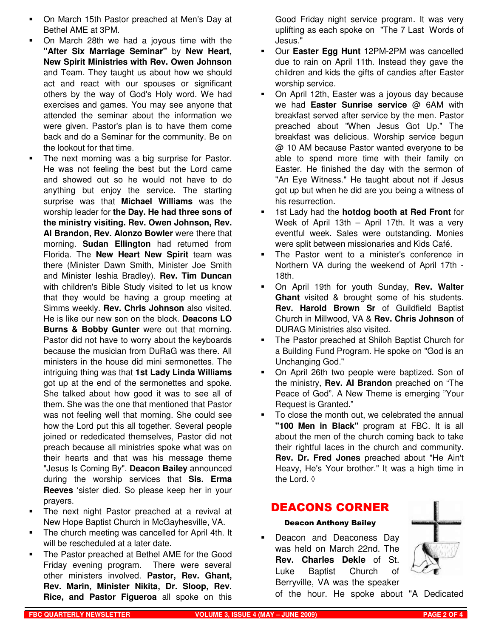- - On March 15th Pastor preached at Men's Day at Bethel AME at 3PM. -
- On March 28th we had a joyous time with the **"After Six Marriage Seminar"** by **New Heart, New Spirit Ministries with Rev. Owen Johnson** and Team. They taught us about how we should act and react with our spouses or significant others by the way of God's Holy word. We had exercises and games. You may see anyone that attended the seminar about the information we were given. Pastor's plan is to have them come back and do a Seminar for the community. Be on the lookout for that time.

-

- The next morning was a big surprise for Pastor. He was not feeling the best but the Lord came and showed out so he would not have to do anything but enjoy the service. The starting surprise was that **Michael Williams** was the worship leader for **the Day. He had three sons of the ministry visiting. Rev. Owen Johnson, Rev. Al Brandon, Rev. Alonzo Bowler** were there that morning. **Sudan Ellington** had returned from Florida. The **New Heart New Spirit** team was there (Minister Dawn Smith, Minister Joe Smith and Minister Ieshia Bradley). **Rev. Tim Duncan** with children's Bible Study visited to let us know that they would be having a group meeting at Simms weekly. **Rev. Chris Johnson** also visited. He is like our new son on the block. **Deacons LO Burns & Bobby Gunter** were out that morning. Pastor did not have to worry about the keyboards because the musician from DuRaG was there. All ministers in the house did mini sermonettes. The intriguing thing was that **1st Lady Linda Williams** got up at the end of the sermonettes and spoke. She talked about how good it was to see all of them. She was the one that mentioned that Pastor was not feeling well that morning. She could see how the Lord put this all together. Several people joined or rededicated themselves, Pastor did not preach because all ministries spoke what was on their hearts and that was his message theme "Jesus Is Coming By". **Deacon Bailey** announced during the worship services that **Sis. Erma Reeves** 'sister died. So please keep her in your prayers.
- - The next night Pastor preached at a revival at New Hope Baptist Church in McGayhesville, VA.
- - The church meeting was cancelled for April 4th. It will be rescheduled at a later date.
- - The Pastor preached at Bethel AME for the Good Friday evening program. There were several other ministers involved. **Pastor, Rev. Ghant, Rev. Marin, Minister Nikita, Dr. Sloop, Rev. Rice, and Pastor Figueroa** all spoke on this

Good Friday night service program. It was very uplifting as each spoke on "The 7 Last Words of Jesus."

- - Our **Easter Egg Hunt** 12PM-2PM was cancelled due to rain on April 11th. Instead they gave the children and kids the gifts of candies after Easter worship service.
- - On April 12th, Easter was a joyous day because we had **Easter Sunrise service** @ 6AM with breakfast served after service by the men. Pastor preached about "When Jesus Got Up." The breakfast was delicious. Worship service begun @ 10 AM because Pastor wanted everyone to be able to spend more time with their family on Easter. He finished the day with the sermon of "An Eye Witness." He taught about not if Jesus got up but when he did are you being a witness of his resurrection.
- - 1st Lady had the **hotdog booth at Red Front** for Week of April 13th – April 17th. It was a very eventful week. Sales were outstanding. Monies were split between missionaries and Kids Café.
- - The Pastor went to a minister's conference in Northern VA during the weekend of April 17th - 18th.
- - On April 19th for youth Sunday, **Rev. Walter Ghant** visited & brought some of his students. **Rev. Harold Brown Sr** of Guildfield Baptist Church in Millwood, VA & **Rev. Chris Johnson** of DURAG Ministries also visited.
- - The Pastor preached at Shiloh Baptist Church for a Building Fund Program. He spoke on "God is an Unchanging God."
- - On April 26th two people were baptized. Son of the ministry, **Rev. Al Brandon** preached on "The Peace of God". A New Theme is emerging "Your Request is Granted."
- - To close the month out, we celebrated the annual **"100 Men in Black"** program at FBC. It is all about the men of the church coming back to take their rightful laces in the church and community. **Rev. Dr. Fred Jones** preached about "He Ain't Heavy, He's Your brother." It was a high time in the Lord. ◊

### DEACONS CORNER

#### Deacon Anthony Bailey

- Deacon and Deaconess Day was held on March 22nd. The **Rev. Charles Dekle** of St. Luke Baptist Church of Berryville, VA was the speaker of the hour. He spoke about "A Dedicated

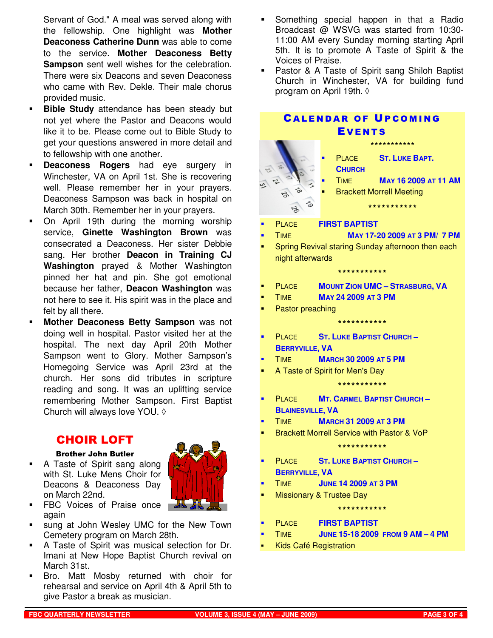Servant of God." A meal was served along with the fellowship. One highlight was **Mother Deaconess Catherine Dunn** was able to come to the service. **Mother Deaconess Betty Sampson** sent well wishes for the celebration. There were six Deacons and seven Deaconess who came with Rev. Dekle. Their male chorus provided music.

- - **Bible Study** attendance has been steady but not yet where the Pastor and Deacons would like it to be. Please come out to Bible Study to get your questions answered in more detail and to fellowship with one another.
- - **Deaconess Rogers** had eye surgery in Winchester, VA on April 1st. She is recovering well. Please remember her in your prayers. Deaconess Sampson was back in hospital on March 30th. Remember her in your prayers.
- - On April 19th during the morning worship service, **Ginette Washington Brown** was consecrated a Deaconess. Her sister Debbie sang. Her brother **Deacon in Training CJ Washington** prayed & Mother Washington pinned her hat and pin. She got emotional because her father, **Deacon Washington** was not here to see it. His spirit was in the place and felt by all there.
- - **Mother Deaconess Betty Sampson** was not doing well in hospital. Pastor visited her at the hospital. The next day April 20th Mother Sampson went to Glory. Mother Sampson's Homegoing Service was April 23rd at the church. Her sons did tributes in scripture reading and song. It was an uplifting service remembering Mother Sampson. First Baptist Church will always love YOU. ◊

### CHOIR LOFT

#### Brother John Butler

- A Taste of Spirit sang along with St. Luke Mens Choir for Deacons & Deaconess Day on March 22nd.



- -FBC Voices of Praise once ALA again
- sung at John Wesley UMC for the New Town Cemetery program on March 28th.
- - A Taste of Spirit was musical selection for Dr. Imani at New Hope Baptist Church revival on March 31st.
- - Bro. Matt Mosby returned with choir for rehearsal and service on April 4th & April 5th to give Pastor a break as musician.
- - Something special happen in that a Radio Broadcast @ WSVG was started from 10:30- 11:00 AM every Sunday morning starting April 5th. It is to promote A Taste of Spirit & the Voices of Praise.
- - Pastor & A Taste of Spirit sang Shiloh Baptist Church in Winchester, VA for building fund program on April 19th. ◊

| <b>CALENDAR OF UPCOMING</b>                                           |                             |
|-----------------------------------------------------------------------|-----------------------------|
| <b>EVENTS</b>                                                         |                             |
| ***********                                                           |                             |
| <b>PLACE</b><br><b>ST. LUKE BAPT.</b><br><b>CHURCH</b><br><b>TIME</b> | <b>MAY 16 2009 AT 11 AM</b> |
| <b>Brackett Morrell Meeting</b>                                       |                             |
| ***********                                                           |                             |
| <b>PLACE</b><br>π                                                     |                             |
| <b>FIRST BAPTIST</b><br><b>TIME</b><br>MAY 17-20 2009 AT 3 PM/ 7 PM   |                             |
|                                                                       |                             |
| Spring Revival staring Sunday afternoon then each<br>night afterwards |                             |
| ***********                                                           |                             |
| <b>PLACE</b><br><b>MOUNT ZION UMC - STRASBURG, VA</b>                 |                             |
| <b>TIME</b><br><b>MAY 24 2009 AT 3 PM</b>                             |                             |
| <b>Pastor preaching</b>                                               |                             |
| ***********                                                           |                             |
| <b>PLACE</b><br><b>ST. LUKE BAPTIST CHURCH-</b>                       |                             |
| <b>BERRYVILLE, VA</b>                                                 |                             |
| <b>TIMF</b><br><b>MARCH 30 2009 AT 5 PM</b>                           |                             |
| A Taste of Spirit for Men's Day                                       |                             |
| ***********                                                           |                             |
| <b>MT. CARMEL BAPTIST CHURCH-</b><br><b>PLACE</b><br>٠                |                             |
| <b>BLAINESVILLE, VA</b>                                               |                             |
| <b>MARCH 31 2009 AT 3 PM</b><br><b>TIME</b>                           |                             |
| Brackett Morrell Service with Pastor & VoP                            |                             |
| ***********                                                           |                             |
| <b>ST. LUKE BAPTIST CHURCH-</b><br><b>PLACE</b>                       |                             |
| <b>BERRYVILLE, VA</b>                                                 |                             |
| <b>TIME</b><br><b>JUNE 14 2009 AT 3 PM</b><br>■                       |                             |
| <b>Missionary &amp; Trustee Day</b>                                   |                             |
| ***********                                                           |                             |
| <b>PLACE</b><br><b>FIRST BAPTIST</b>                                  |                             |
| <b>TIME</b><br>JUNE 15-18 2009 FROM 9 AM - 4 PM                       |                             |
| Kids Café Registration                                                |                             |